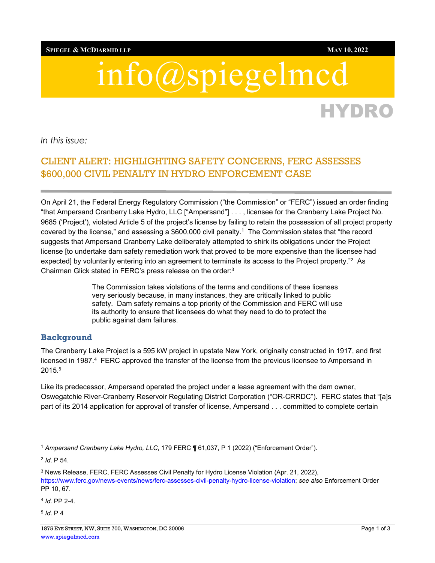**SPIEGEL & MCDIARMID LLP MAY 10, 2022**

# info@spiegelmcd

*In this issue:* 

## CLIENT ALERT: HIGHLIGHTING SAFETY CONCERNS, FERC ASSESSES \$600,000 CIVIL PENALTY IN HYDRO ENFORCEMENT CASE

On April 21, the Federal Energy Regulatory Commission ("the Commission" or "FERC") issued an order finding "that Ampersand Cranberry Lake Hydro, LLC ["Ampersand"] . . . , licensee for the Cranberry Lake Project No. 9685 ('Project'), violated Article 5 of the project's license by failing to retain the possession of all project property covered by the license," and assessing a \$600,000 civil penalty.1 The Commission states that "the record suggests that Ampersand Cranberry Lake deliberately attempted to shirk its obligations under the Project license [to undertake dam safety remediation work that proved to be more expensive than the licensee had expected] by voluntarily entering into an agreement to terminate its access to the Project property."<sup>2</sup> As Chairman Glick stated in FERC's press release on the order:3

> The Commission takes violations of the terms and conditions of these licenses very seriously because, in many instances, they are critically linked to public safety. Dam safety remains a top priority of the Commission and FERC will use its authority to ensure that licensees do what they need to do to protect the public against dam failures.

#### **Background**

The Cranberry Lake Project is a 595 kW project in upstate New York, originally constructed in 1917, and first licensed in 1987.<sup>4</sup> FERC approved the transfer of the license from the previous licensee to Ampersand in 2015.5

Like its predecessor, Ampersand operated the project under a lease agreement with the dam owner, Oswegatchie River-Cranberry Reservoir Regulating District Corporation ("OR-CRRDC"). FERC states that "[a]s part of its 2014 application for approval of transfer of license, Ampersand . . . committed to complete certain

<sup>4</sup> *Id*. PP 2-4.

HYDRO

<sup>1</sup> *Ampersand Cranberry Lake Hydro, LLC*, 179 FERC ¶ 61,037, P 1 (2022) ("Enforcement Order").

<sup>2</sup> *Id*. P 54.

<sup>3</sup> News Release, FERC, FERC Assesses Civil Penalty for Hydro License Violation (Apr. 21, 2022),

https://www.ferc.gov/news-events/news/ferc-assesses-civil-penalty-hydro-license-violation; *see also* Enforcement Order PP 10, 67.

<sup>5</sup> *Id*. P 4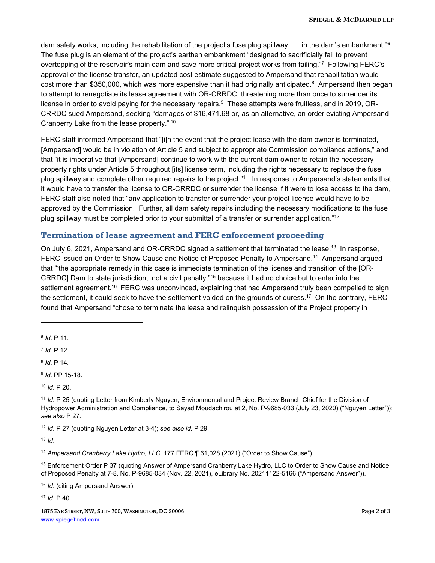dam safety works, including the rehabilitation of the project's fuse plug spillway . . . in the dam's embankment."<sup>6</sup> The fuse plug is an element of the project's earthen embankment "designed to sacrificially fail to prevent overtopping of the reservoir's main dam and save more critical project works from failing."7 Following FERC's approval of the license transfer, an updated cost estimate suggested to Ampersand that rehabilitation would cost more than \$350,000, which was more expensive than it had originally anticipated.<sup>8</sup> Ampersand then began to attempt to renegotiate its lease agreement with OR-CRRDC, threatening more than once to surrender its license in order to avoid paying for the necessary repairs.<sup>9</sup> These attempts were fruitless, and in 2019, OR-CRRDC sued Ampersand, seeking "damages of \$16,471.68 or, as an alternative, an order evicting Ampersand Cranberry Lake from the lease property." 10

FERC staff informed Ampersand that "[i]n the event that the project lease with the dam owner is terminated, [Ampersand] would be in violation of Article 5 and subject to appropriate Commission compliance actions," and that "it is imperative that [Ampersand] continue to work with the current dam owner to retain the necessary property rights under Article 5 throughout [its] license term, including the rights necessary to replace the fuse plug spillway and complete other required repairs to the project."11 In response to Ampersand's statements that it would have to transfer the license to OR-CRRDC or surrender the license if it were to lose access to the dam, FERC staff also noted that "any application to transfer or surrender your project license would have to be approved by the Commission. Further, all dam safety repairs including the necessary modifications to the fuse plug spillway must be completed prior to your submittal of a transfer or surrender application."12

#### **Termination of lease agreement and FERC enforcement proceeding**

On July 6, 2021, Ampersand and OR-CRRDC signed a settlement that terminated the lease.<sup>13</sup> In response, FERC issued an Order to Show Cause and Notice of Proposed Penalty to Ampersand.<sup>14</sup> Ampersand argued that "'the appropriate remedy in this case is immediate termination of the license and transition of the [OR-CRRDC] Dam to state jurisdiction,' not a civil penalty,"15 because it had no choice but to enter into the settlement agreement.<sup>16</sup> FERC was unconvinced, explaining that had Ampersand truly been compelled to sign the settlement, it could seek to have the settlement voided on the grounds of duress.17 On the contrary, FERC found that Ampersand "chose to terminate the lease and relinquish possession of the Project property in

<sup>12</sup> *Id*. P 27 (quoting Nguyen Letter at 3-4); *see also id.* P 29.

<sup>13</sup> *Id*.

<sup>14</sup> *Ampersand Cranberry Lake Hydro, LLC*, 177 FERC ¶ 61,028 (2021) ("Order to Show Cause").

15 Enforcement Order P 37 (quoting Answer of Ampersand Cranberry Lake Hydro, LLC to Order to Show Cause and Notice of Proposed Penalty at 7-8, No. P-9685-034 (Nov. 22, 2021), eLibrary No. 20211122-5166 ("Ampersand Answer")).

<sup>16</sup> *Id*. (citing Ampersand Answer).

<sup>17</sup> *Id*. P 40.

1875 EYE STREET, NW, SUITE 700, WASHINGTON, DC 20006 Page 2 of 3 www.spiegelmcd.com

<sup>6</sup> *Id*. P 11.

<sup>7</sup> *Id*. P 12.

<sup>8</sup> *Id*. P 14.

<sup>9</sup> *Id*. PP 15-18.

<sup>10</sup> *Id*. P 20.

<sup>11</sup> *Id*. P 25 (quoting Letter from Kimberly Nguyen, Environmental and Project Review Branch Chief for the Division of Hydropower Administration and Compliance, to Sayad Moudachirou at 2, No. P-9685-033 (July 23, 2020) ("Nguyen Letter")); *see also* P 27.